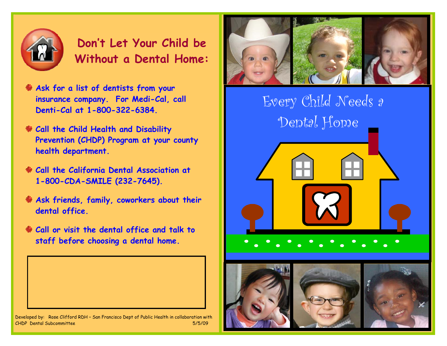

**Don't Let Your Child be Without a Dental Home:**

- **Ask for a list of dentists from your insurance company. For Medi-Cal, call Denti-Cal at 1-800-322-6384.**
- **Call the Child Health and Disability Prevention (CHDP) Program at your county health department.**
- **Call the California Dental Association at 1-800-CDA-SMILE (232-7645).**
- **Ask friends, family, coworkers about their dental office.**
- **Call or visit the dental office and talk to staff before choosing a dental home.**



Developed by: Rose Clifford RDH – San Francisco Dept of Public Health in collaboration with CHDP Dental Subcommittee 5/5/09



 Every Child Needs a Dental Home